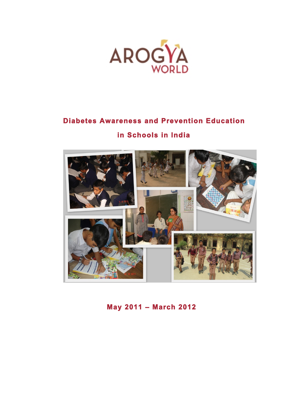

# **Diabetes Awareness and Prevention Education**

## **in Schools in India**



 **May 2011 – March 2012**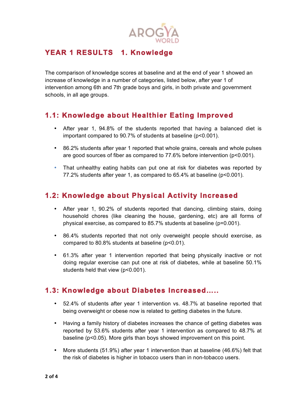

### YEAR 1 RESULTS 1. Knowledge

The comparison of knowledge scores at baseline and at the end of year 1 showed an increase of knowledge in a number of categories, listed below, after year 1 of intervention among 6th and 7th grade boys and girls, in both private and government schools, in all age groups.

#### **1.1: Knowledge about Healthier Eating Improved**

- After year 1, 94.8% of the students reported that having a balanced diet is important compared to 90.7% of students at baseline (p<0.001).
- 86.2% students after year 1 reported that whole grains, cereals and whole pulses are good sources of fiber as compared to 77.6% before intervention (p<0.001).
- That unhealthy eating habits can put one at risk for diabetes was reported by 77.2% students after year 1, as compared to 65.4% at baseline (p<0.001).

#### **1.2: Knowledge about Physical Activity Increased**

- After year 1, 90.2% of students reported that dancing, climbing stairs, doing household chores (like cleaning the house, gardening, etc) are all forms of physical exercise, as compared to 85.7% students at baseline (p=0.001).
- 86.4% students reported that not only overweight people should exercise, as compared to 80.8% students at baseline (p<0.01).
- 61.3% after year 1 intervention reported that being physically inactive or not doing regular exercise can put one at risk of diabetes, while at baseline 50.1% students held that view (p<0.001).

#### **1.3: Knowledge about Diabetes Increased…..**

- 52.4% of students after year 1 intervention vs. 48.7% at baseline reported that being overweight or obese now is related to getting diabetes in the future.
- Having a family history of diabetes increases the chance of getting diabetes was reported by 53.6% students after year 1 intervention as compared to 48.7% at baseline (p<0.05). More girls than boys showed improvement on this point.
- More students (51.9%) after year 1 intervention than at baseline (46.6%) felt that the risk of diabetes is higher in tobacco users than in non-tobacco users.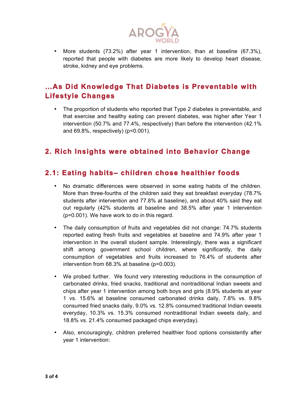

• More students (73.2%) after year 1 intervention, than at baseline (67.3%), reported that people with diabetes are more likely to develop heart disease, stroke, kidney and eye problems.

### **…As Did Knowledge That Diabetes is Preventable with Lifestyle Changes**

• The proportion of students who reported that Type 2 diabetes is preventable, and that exercise and healthy eating can prevent diabetes, was higher after Year 1 intervention (50.7% and 77.4%, respectively) than before the intervention (42.1% and 69.8%, respectively) (p<0.001).

#### **2. Rich Insights were obtained into Behavior Change**

#### **2.1: Eating habits– children chose healthier foods**

- No dramatic differences were observed in some eating habits of the children. More than three-fourths of the children said they eat breakfast everyday (78.7% students after intervention and 77.8% at baseline), and about 40% said they eat out regularly (42% students at baseline and 38.5% after year 1 intervention (p=0.001). We have work to do in this regard.
- The daily consumption of fruits and vegetables did not change: 74.7% students reported eating fresh fruits and vegetables at baseline and 74.9% after year 1 intervention in the overall student sample. Interestingly, there was a significant shift among government school children, where significantly, the daily consumption of vegetables and fruits increased to 76.4% of students after intervention from 68.3% at baseline (p=0.003).
- We probed further. We found very interesting reductions in the consumption of carbonated drinks, fried snacks, traditional and nontraditional Indian sweets and chips after year 1 intervention among both boys and girls (8.9% students at year 1 vs. 15.6% at baseline consumed carbonated drinks daily, 7.8% vs. 9.8% consumed fried snacks daily, 9.0% vs. 12.8% consumed traditional Indian sweets everyday, 10.3% vs. 15.3% consumed nontraditional Indian sweets daily, and 18.8% vs. 21.4% consumed packaged chips everyday).
- Also, encouragingly, children preferred healthier food options consistently after year 1 intervention: